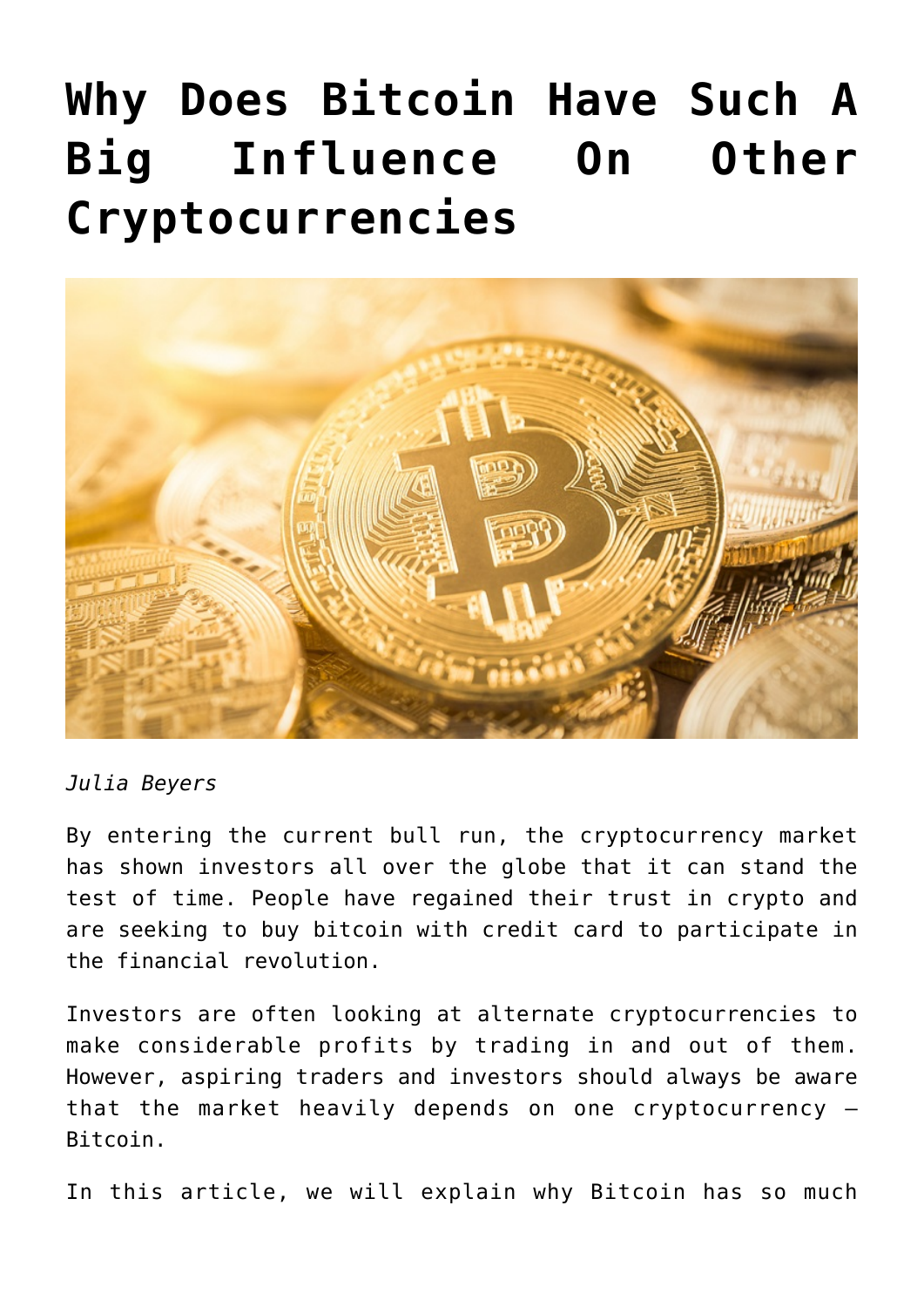# **[Why Does Bitcoin Have Such A](https://www.commpro.biz/why-does-bitcoin-have-such-a-big-influence-on-other-cryptocurrencies/) [Big Influence On Other](https://www.commpro.biz/why-does-bitcoin-have-such-a-big-influence-on-other-cryptocurrencies/) [Cryptocurrencies](https://www.commpro.biz/why-does-bitcoin-have-such-a-big-influence-on-other-cryptocurrencies/)**



*Julia Beyers*

By entering the current bull run, the [cryptocurrency](https://www.commpro.biz/crypto-section/) market has shown investors all over the globe that it can stand the test of time. People have regained their trust in crypto and are seeking to [buy bitcoin with credit card](https://paybis.com/) to participate in the financial revolution.

Investors are often looking at alternate cryptocurrencies to make considerable profits by trading in and out of them. However, aspiring traders and investors should always be aware that the market heavily depends on one cryptocurrency – Bitcoin.

In this article, we will explain why Bitcoin has so much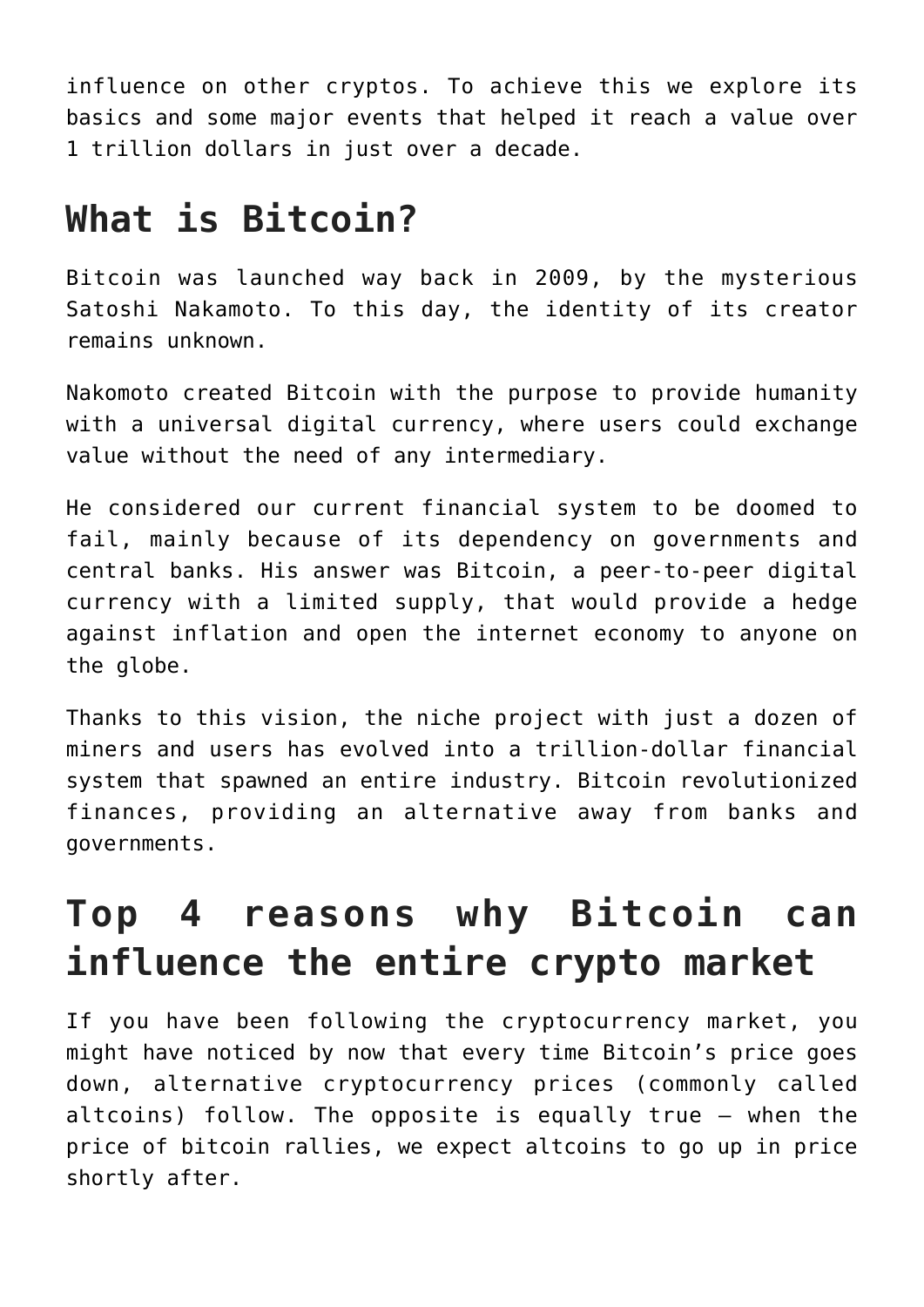influence on other cryptos. To achieve this we explore its basics and some major events that helped it reach a value over 1 trillion dollars in just over a decade.

### **What is Bitcoin?**

Bitcoin was launched way back in 2009, by the mysterious Satoshi Nakamoto. To this day, the identity of its creator remains unknown.

Nakomoto created Bitcoin with the purpose to provide humanity with a universal digital currency, where users could exchange value without the need of any intermediary.

He considered our current financial system to be doomed to fail, mainly because of its dependency on governments and central banks. His answer was Bitcoin, a peer-to-peer digital currency with a limited supply, that would provide a hedge against inflation and open the internet economy to anyone on the globe.

Thanks to this vision, the niche project with just a dozen of miners and users has evolved into a trillion-dollar financial system that spawned an entire industry. Bitcoin revolutionized finances, providing an alternative away from banks and governments.

### **Top 4 reasons why Bitcoin can influence the entire crypto market**

If you have been following the cryptocurrency market, you might have noticed by now that every time Bitcoin's price goes down, alternative [cryptocurrency prices](https://paybis.com/price/) (commonly called altcoins) follow. The opposite is equally true – when the price of bitcoin rallies, we expect altcoins to go up in price shortly after.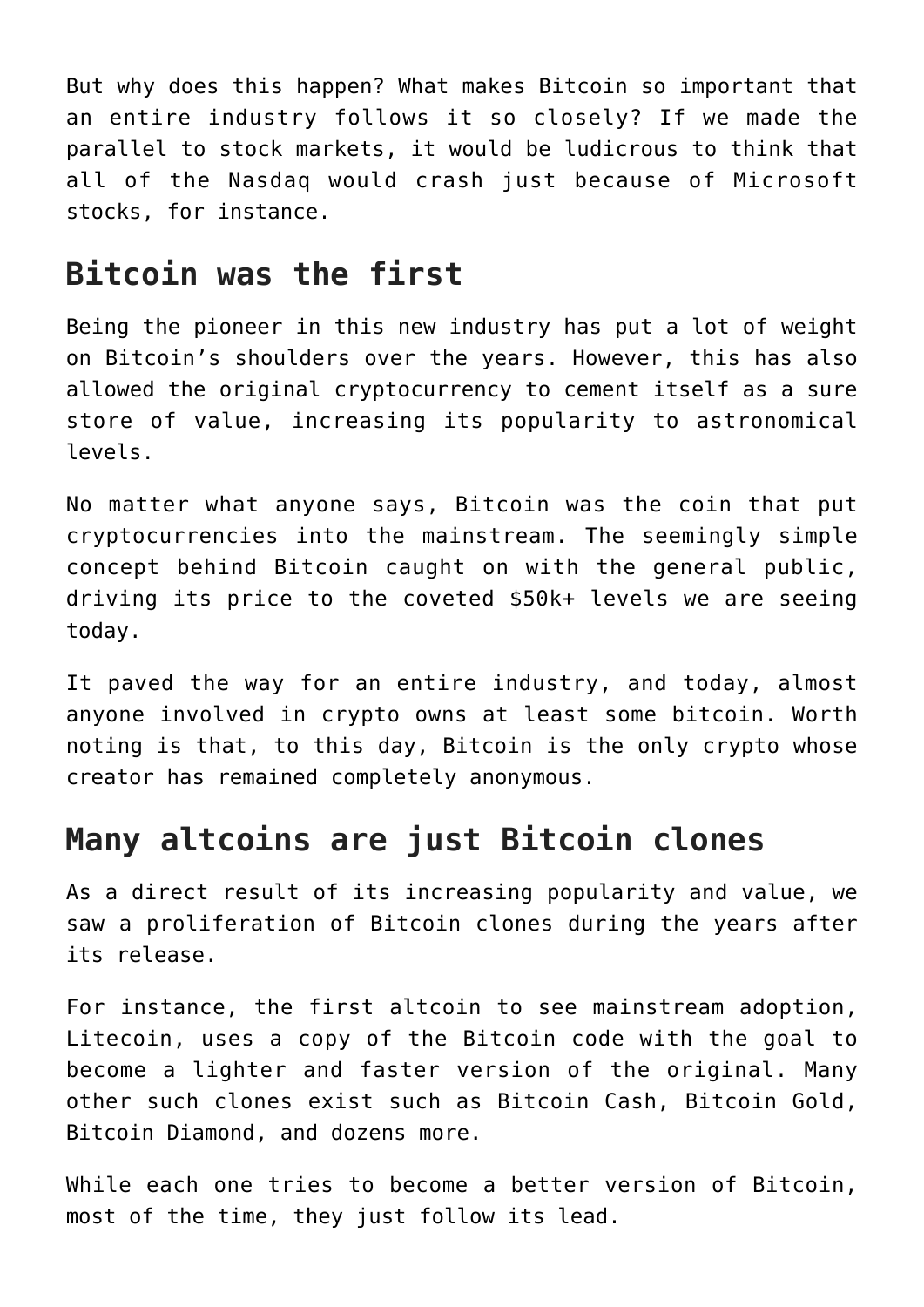But why does this happen? What makes Bitcoin so important that an entire industry follows it so closely? If we made the parallel to stock markets, it would be ludicrous to think that all of the Nasdaq would crash just because of Microsoft stocks, for instance.

#### **Bitcoin was the first**

Being the pioneer in this new industry has put a lot of weight on Bitcoin's shoulders over the years. However, this has also allowed the original cryptocurrency to cement itself as a sure store of value, increasing its popularity to astronomical levels.

No matter what anyone says, Bitcoin was the coin that put cryptocurrencies into the mainstream. The seemingly simple concept behind Bitcoin caught on with the general public, driving its price to the coveted \$50k+ levels we are seeing today.

It paved the way for an entire industry, and today, almost anyone involved in crypto owns at least some bitcoin. Worth noting is that, to this day, Bitcoin is the only crypto whose creator has remained completely anonymous.

#### **Many altcoins are just Bitcoin clones**

As a direct result of its increasing popularity and value, we saw a proliferation of Bitcoin clones during the years after its release.

For instance, the first altcoin to see mainstream adoption, Litecoin, uses a copy of the Bitcoin code with the goal to become a lighter and faster version of the original. Many other such clones exist such as Bitcoin Cash, Bitcoin Gold, Bitcoin Diamond, and dozens more.

While each one tries to become a better version of Bitcoin, most of the time, they just follow its lead.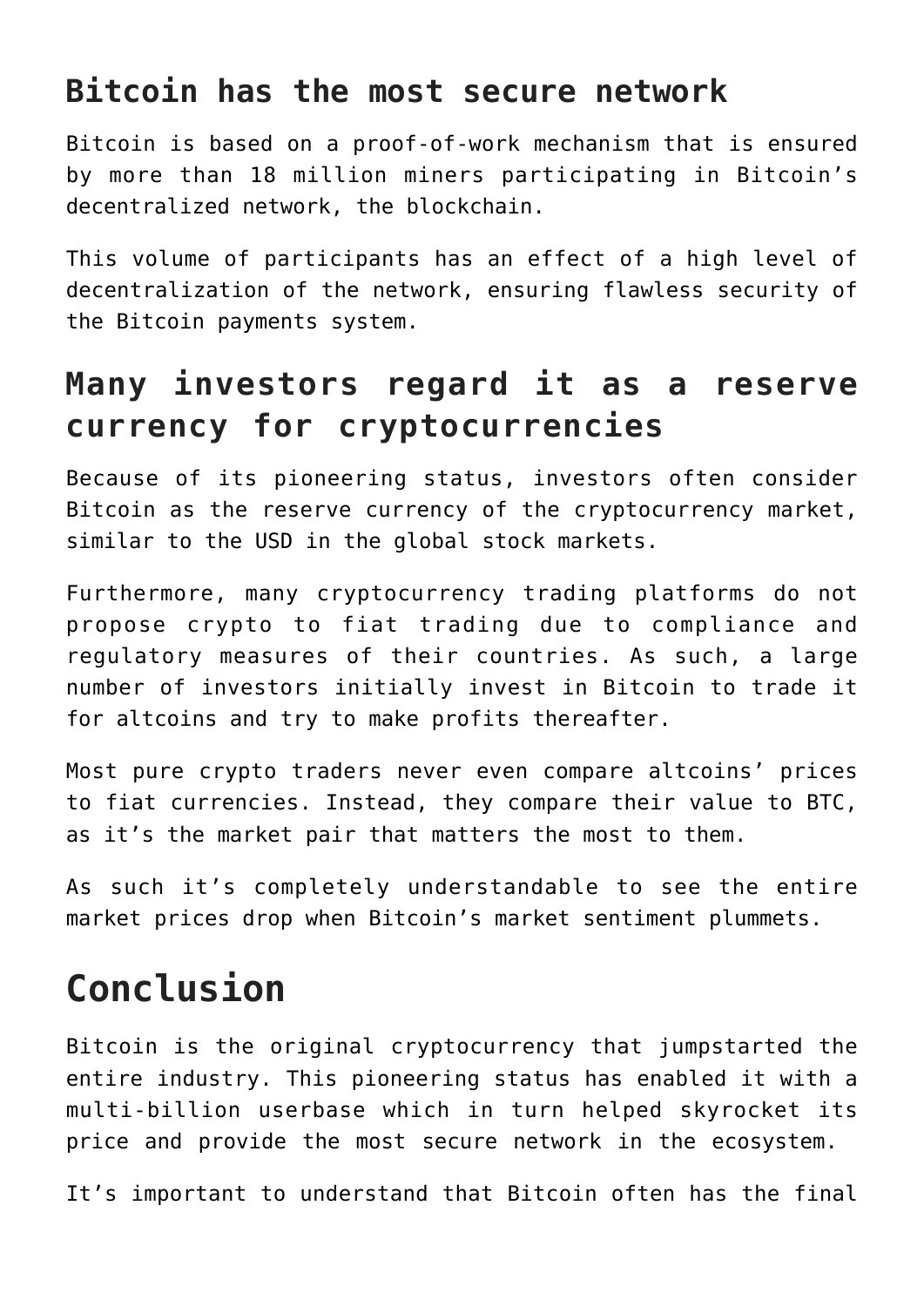#### **Bitcoin has the most secure network**

Bitcoin is based on a proof-of-work mechanism that is ensured by more than 18 million miners participating in Bitcoin's decentralized network, the blockchain.

This volume of participants has an effect of a high level of decentralization of the network, ensuring flawless security of the Bitcoin payments system.

### **Many investors regard it as a reserve currency for cryptocurrencies**

Because of its pioneering status, investors often consider Bitcoin as the reserve currency of the cryptocurrency market, similar to the USD in the global stock markets.

Furthermore, many cryptocurrency trading platforms do not propose crypto to fiat trading due to compliance and regulatory measures of their countries. As such, a large number of investors initially invest in Bitcoin to trade it for altcoins and try to make profits thereafter.

Most pure crypto traders never even compare altcoins' prices to fiat currencies. Instead, they compare their value to BTC, as it's the market pair that matters the most to them.

As such it's completely understandable to see the entire market prices drop when Bitcoin's market sentiment plummets.

## **Conclusion**

Bitcoin is the original cryptocurrency that jumpstarted the entire industry. This pioneering status has enabled it with a multi-billion userbase which in turn helped skyrocket its price and provide the most secure network in the ecosystem.

It's important to understand that Bitcoin often has the final